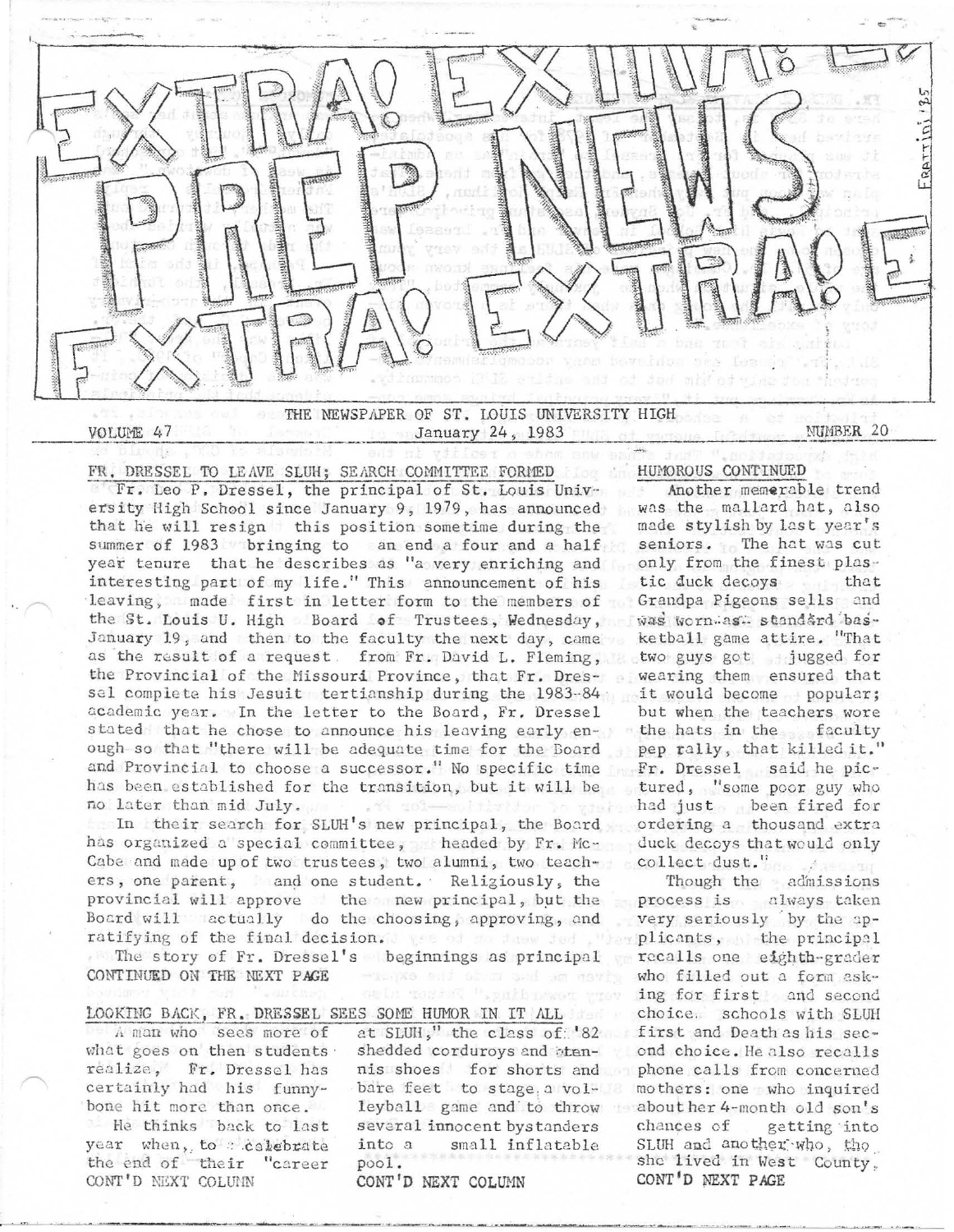### VOLUME 47

THE NEWSPAPER OF ST. LOUIS UNIVERSITY HIGH January 24, 1983

NUMBER 20

FR. DRESSEL TO LEAVE SLUH; SEARCH COMMITTEE FORMED

Fr. Leo P. Dressel, the principal of St. Louis University High School since January 9, 1979, has announced that he will resign this position sometime during the summer of 1983 bringing to an end a four and a half year tenure that he describes as "a very enriching and interesting part of my life." This announcement of his leaving, made first in letter form to the members of the St. Louis U. High Board of Trustees, Wednesday, January 19, and then to the faculty the next day, came as the result of a request. from Fr. David L. Fleming, the Provincial of the Missouri Province, that Fr. Dressel complete his Jesuit tertianship during the 1983-84 academic year. In the letter to the Board, Fr. Dressel stated that he chose to announce his leaving early enough so that "there will be adequate time for the Board and Provincial to choose a successor." No specific time has been established for the transition, but it will be no later than mid July.

In their search for SLUH's new principal, the Board has organized a special committee, headed by Fr. Mc-Cabe and made up of two trustees, two alumni, two teachers, one parent, and one student. Religiously, the provincial will approve the new principal, but the Board will actually do the choosing, approving, and ratifying of the final decision. The state fed the

The story of Fr. Dressel's beginnings as principal CONTINUED ON THE NEXT PAGE

### LOOKING BACK, FR. DRESSEL SEES SOME HUMOR IN IT ALL

A man who sees more of what goes on then students. realize, Fr. Dressel has certainly had his funnybone hit more than once. He thinks back to last year when, to celebrate the end of their "career CONT'D NEXT COLUMN

at SLUH," the class of '82 shedded corduroys and btennis shoes for shorts and bare feet to stage a volleyball game and to throw meabout her 4-month old son's several innocent bystanders into a small inflatable pool.

CONT'D NEXT COLUMN

## HUMOROUS CONTINUED

Another memerable trend was the mallard hat, also made stylish by last year's seniors. The hat was cut only from the finest plastic duck decoys that Grandpa Pigeons sells and was wornwas standard basketball game attire. "That two guys got jugged for wearing them ensured that it would become popular; but when the teachers wore the hats in the faculty pep rally, that killed it." Fr. Dressel said he pictured, "some poor guy who had just been fired for ordering a thousand extra duck decoys that would only collect dust."

Though the admissions process is always taken very seriously by the applicants, the principal recalls one eighth-grader who filled out a form asking for first and second choice. schools with SLUH first and Death as his second choice. He also recalls phone calls from concerned mothers: one who inquired chances of getting into SLUH and another who, tho she lived in West County. CONT'D NEXT PAGE